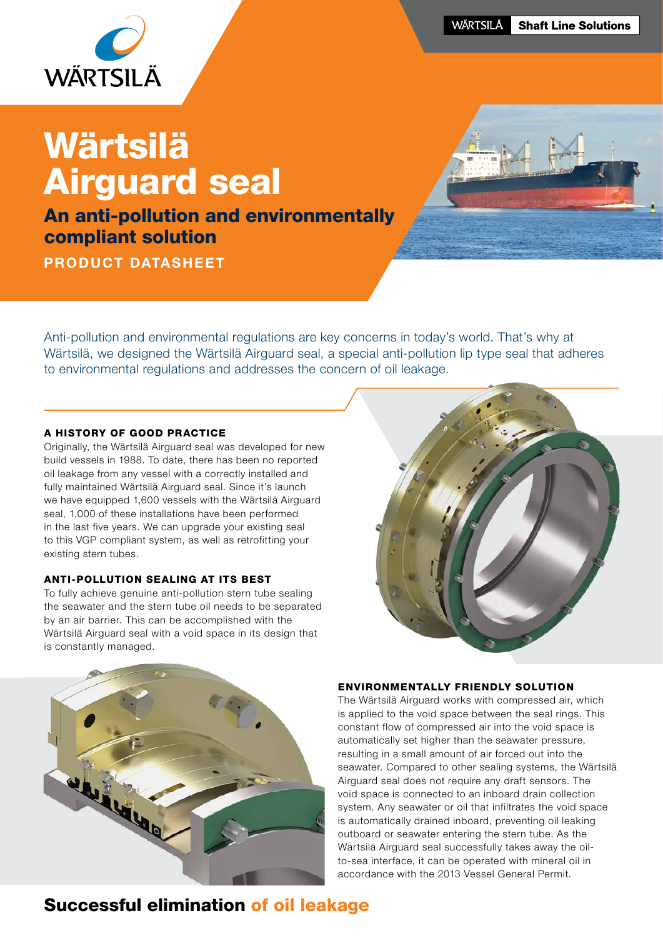

# Wärtsilä Airguard seal

An anti-pollution and environmentally compliant solution

PRODUCT DATASHEET



Anti-pollution and environmental regulations are key concerns in today's world. That's why at Wärtsilä, we designed the Wärtsilä Airguard seal, a special anti-pollution lip type seal that adheres to environmental regulations and addresses the concern of oil leakage.

#### A HISTORY OF GOOD PRACTICE

Originally, the Wärtsilä Airguard seal was developed for new build vessels in 1988. To date, there has been no reported oil leakage from any vessel with a correctly installed and fully maintained Wärtsilä Airguard seal. Since it's launch we have equipped 1,600 vessels with the Wärtsilä Airguard seal, 1,000 of these installations have been performed in the last five years. We can upgrade your existing seal to this VGP compliant system, as well as retrofitting your existing stern tubes.

#### ANTI-POLLUTION SEALING AT ITS BEST

To fully achieve genuine anti-pollution stern tube sealing the seawater and the stern tube oil needs to be separated by an air barrier. This can be accomplished with the Wärtsilä Airguard seal with a void space in its design that is constantly managed.





#### ENVIRONMENTALLY FRIENDLY SOLUTION

The Wärtsilä Airguard works with compressed air, which is applied to the void space between the seal rings. This constant flow of compressed air into the void space is automatically set higher than the seawater pressure, resulting in a small amount of air forced out into the seawater. Compared to other sealing systems, the Wärtsilä Airguard seal does not require any draft sensors. The void space is connected to an inboard drain collection system. Any seawater or oil that infiltrates the void space is automatically drained inboard, preventing oil leaking outboard or seawater entering the stern tube. As the Wärtsilä Airguard seal successfully takes away the oilto-sea interface, it can be operated with mineral oil in accordance with the 2013 Vessel General Permit.

## Successful elimination of oil leakage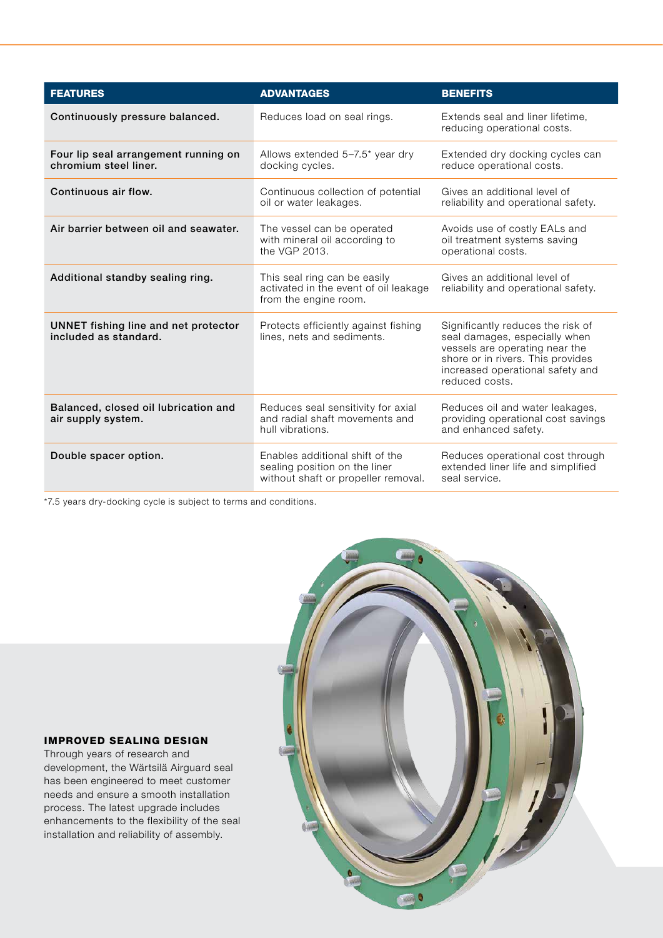| <b>FEATURES</b>                                               | <b>ADVANTAGES</b>                                                                                       | <b>BENEFITS</b>                                                                                                                                                                                 |
|---------------------------------------------------------------|---------------------------------------------------------------------------------------------------------|-------------------------------------------------------------------------------------------------------------------------------------------------------------------------------------------------|
| Continuously pressure balanced.                               | Reduces load on seal rings.                                                                             | Extends seal and liner lifetime,<br>reducing operational costs.                                                                                                                                 |
| Four lip seal arrangement running on<br>chromium steel liner. | Allows extended 5-7.5* year dry<br>docking cycles.                                                      | Extended dry docking cycles can<br>reduce operational costs.                                                                                                                                    |
| Continuous air flow.                                          | Continuous collection of potential<br>oil or water leakages.                                            | Gives an additional level of<br>reliability and operational safety.                                                                                                                             |
| Air barrier between oil and seawater.                         | The vessel can be operated<br>with mineral oil according to<br>the VGP 2013.                            | Avoids use of costly EALs and<br>oil treatment systems saving<br>operational costs.                                                                                                             |
| Additional standby sealing ring.                              | This seal ring can be easily<br>activated in the event of oil leakage<br>from the engine room.          | Gives an additional level of<br>reliability and operational safety.                                                                                                                             |
| UNNET fishing line and net protector<br>included as standard. | Protects efficiently against fishing<br>lines, nets and sediments.                                      | Significantly reduces the risk of<br>seal damages, especially when<br>vessels are operating near the<br>shore or in rivers. This provides<br>increased operational safety and<br>reduced costs. |
| Balanced, closed oil lubrication and<br>air supply system.    | Reduces seal sensitivity for axial<br>and radial shaft movements and<br>hull vibrations.                | Reduces oil and water leakages,<br>providing operational cost savings<br>and enhanced safety.                                                                                                   |
| Double spacer option.                                         | Enables additional shift of the<br>sealing position on the liner<br>without shaft or propeller removal. | Reduces operational cost through<br>extended liner life and simplified<br>seal service.                                                                                                         |

\*7.5 years dry-docking cycle is subject to terms and conditions.



#### IMPROVED SEALING DESIGN

Through years of research and development, the Wärtsilä Airguard seal has been engineered to meet customer needs and ensure a smooth installation process. The latest upgrade includes enhancements to the flexibility of the seal installation and reliability of assembly.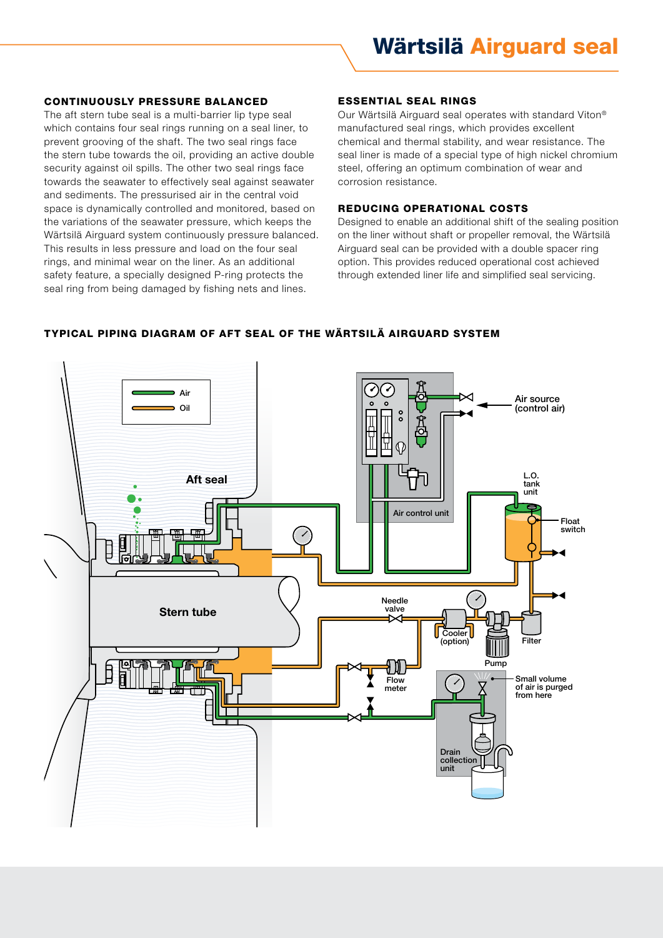#### CONTINUOUSLY PRESSURE BALANCED

The aft stern tube seal is a multi-barrier lip type seal which contains four seal rings running on a seal liner, to prevent grooving of the shaft. The two seal rings face the stern tube towards the oil, providing an active double security against oil spills. The other two seal rings face towards the seawater to effectively seal against seawater and sediments. The pressurised air in the central void space is dynamically controlled and monitored, based on the variations of the seawater pressure, which keeps the Wärtsilä Airguard system continuously pressure balanced. This results in less pressure and load on the four seal rings, and minimal wear on the liner. As an additional safety feature, a specially designed P-ring protects the seal ring from being damaged by fishing nets and lines.

#### ESSENTIAL SEAL RINGS

Our Wärtsilä Airguard seal operates with standard Viton® manufactured seal rings, which provides excellent chemical and thermal stability, and wear resistance. The seal liner is made of a special type of high nickel chromium steel, offering an optimum combination of wear and corrosion resistance.

#### REDUCING OPERATIONAL COSTS

Designed to enable an additional shift of the sealing position on the liner without shaft or propeller removal, the Wärtsilä Airguard seal can be provided with a double spacer ring option. This provides reduced operational cost achieved through extended liner life and simplified seal servicing.



#### TYPICAL PIPING DIAGRAM OF AFT SEAL OF THE WÄRTSILÄ AIRGUARD SYSTEM